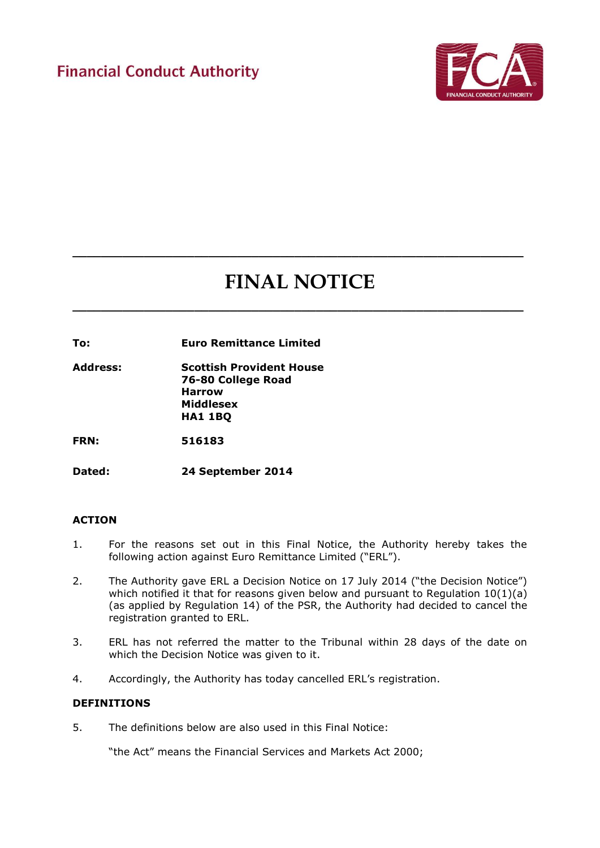

# **FINAL NOTICE**

**\_\_\_\_\_\_\_\_\_\_\_\_\_\_\_\_\_\_\_\_\_\_\_\_\_\_\_\_\_\_\_\_\_\_\_\_\_\_\_\_\_\_\_\_\_\_\_\_\_\_\_\_\_\_\_\_\_\_\_\_\_\_\_**

**\_\_\_\_\_\_\_\_\_\_\_\_\_\_\_\_\_\_\_\_\_\_\_\_\_\_\_\_\_\_\_\_\_\_\_\_\_\_\_\_\_\_\_\_\_\_\_\_\_\_\_\_\_\_\_\_\_\_\_\_\_\_\_**

**To: Euro Remittance Limited**

**Address: Scottish Provident House 76-80 College Road Harrow Middlesex HA1 1BQ**

**FRN: 516183**

**Dated: 24 September 2014**

## **ACTION**

- 1. For the reasons set out in this Final Notice, the Authority hereby takes the following action against Euro Remittance Limited ("ERL").
- 2. The Authority gave ERL a Decision Notice on 17 July 2014 ("the Decision Notice") which notified it that for reasons given below and pursuant to Regulation  $10(1)(a)$ (as applied by Regulation 14) of the PSR, the Authority had decided to cancel the registration granted to ERL.
- 3. ERL has not referred the matter to the Tribunal within 28 days of the date on which the Decision Notice was given to it.
- 4. Accordingly, the Authority has today cancelled ERL's registration.

### **DEFINITIONS**

5. The definitions below are also used in this Final Notice:

"the Act" means the Financial Services and Markets Act 2000;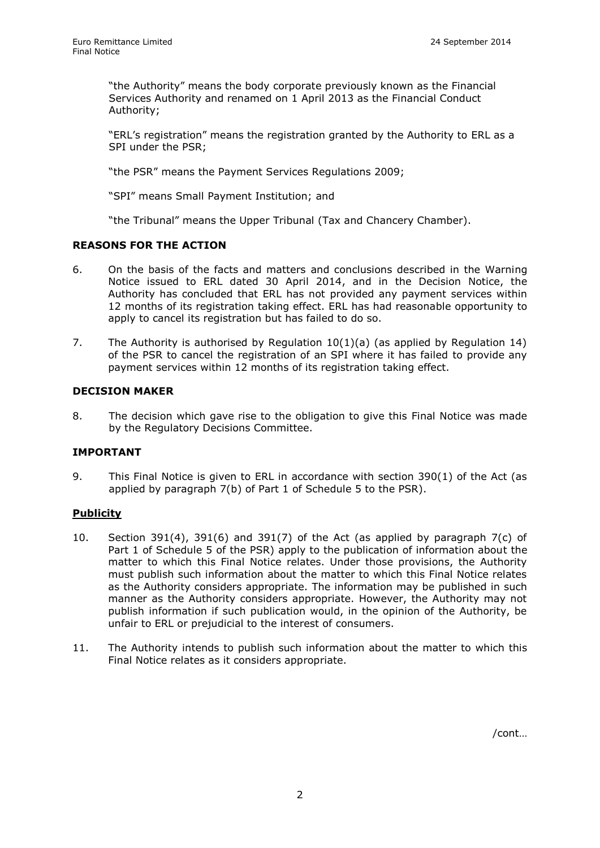"the Authority" means the body corporate previously known as the Financial Services Authority and renamed on 1 April 2013 as the Financial Conduct Authority;

"ERL's registration" means the registration granted by the Authority to ERL as a SPI under the PSR;

"the PSR" means the Payment Services Regulations 2009;

"SPI" means Small Payment Institution; and

"the Tribunal" means the Upper Tribunal (Tax and Chancery Chamber).

#### **REASONS FOR THE ACTION**

- 6. On the basis of the facts and matters and conclusions described in the Warning Notice issued to ERL dated 30 April 2014, and in the Decision Notice, the Authority has concluded that ERL has not provided any payment services within 12 months of its registration taking effect. ERL has had reasonable opportunity to apply to cancel its registration but has failed to do so.
- 7. The Authority is authorised by Regulation 10(1)(a) (as applied by Regulation 14) of the PSR to cancel the registration of an SPI where it has failed to provide any payment services within 12 months of its registration taking effect.

## **DECISION MAKER**

8. The decision which gave rise to the obligation to give this Final Notice was made by the Regulatory Decisions Committee.

#### **IMPORTANT**

9. This Final Notice is given to ERL in accordance with section 390(1) of the Act (as applied by paragraph 7(b) of Part 1 of Schedule 5 to the PSR).

#### **Publicity**

- 10. Section 391(4), 391(6) and 391(7) of the Act (as applied by paragraph 7(c) of Part 1 of Schedule 5 of the PSR) apply to the publication of information about the matter to which this Final Notice relates. Under those provisions, the Authority must publish such information about the matter to which this Final Notice relates as the Authority considers appropriate. The information may be published in such manner as the Authority considers appropriate. However, the Authority may not publish information if such publication would, in the opinion of the Authority, be unfair to ERL or prejudicial to the interest of consumers.
- 11. The Authority intends to publish such information about the matter to which this Final Notice relates as it considers appropriate.

/cont…